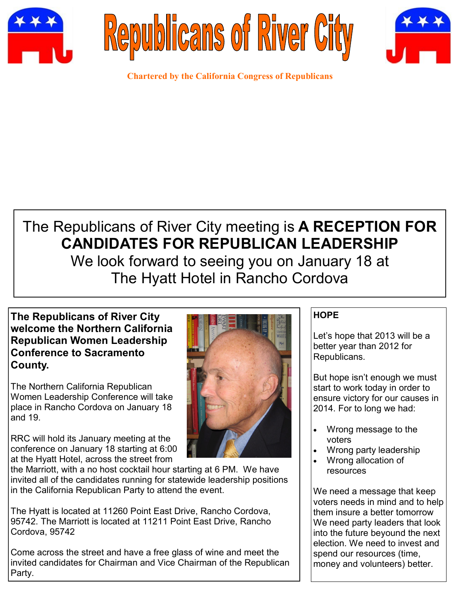





**Chartered by the California Congress of Republicans**

## The Republicans of River City meeting is **A RECEPTION FOR CANDIDATES FOR REPUBLICAN LEADERSHIP**

We look forward to seeing you on January 18 at The Hyatt Hotel in Rancho Cordova

## **The Republicans of River City welcome the Northern California Republican Women Leadership Conference to Sacramento County.**

The Northern California Republican Women Leadership Conference will take place in Rancho Cordova on January 18 and 19.

RRC will hold its January meeting at the conference on January 18 starting at 6:00 at the Hyatt Hotel, across the street from



the Marriott, with a no host cocktail hour starting at 6 PM. We have invited all of the candidates running for statewide leadership positions in the California Republican Party to attend the event.

The Hyatt is located at 11260 Point East Drive, Rancho Cordova, 95742. The Marriott is located at 11211 Point East Drive, Rancho Cordova, 95742

Come across the street and have a free glass of wine and meet the invited candidates for Chairman and Vice Chairman of the Republican Party.

## **HOPE**

Let's hope that 2013 will be a better year than 2012 for Republicans.

But hope isn't enough we must start to work today in order to ensure victory for our causes in 2014. For to long we had:

- Wrong message to the voters
- Wrong party leadership
- Wrong allocation of resources

We need a message that keep voters needs in mind and to help them insure a better tomorrow We need party leaders that look into the future beyound the next election. We need to invest and spend our resources (time, money and volunteers) better.